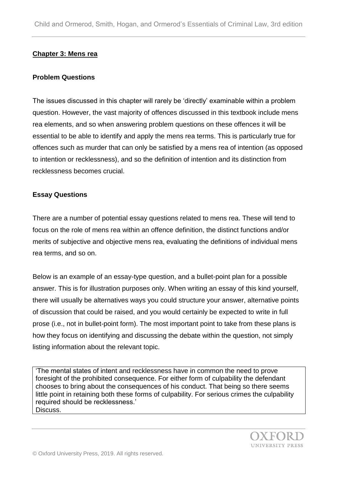# **Chapter 3: Mens rea**

#### **Problem Questions**

The issues discussed in this chapter will rarely be 'directly' examinable within a problem question. However, the vast majority of offences discussed in this textbook include mens rea elements, and so when answering problem questions on these offences it will be essential to be able to identify and apply the mens rea terms. This is particularly true for offences such as murder that can only be satisfied by a mens rea of intention (as opposed to intention or recklessness), and so the definition of intention and its distinction from recklessness becomes crucial.

## **Essay Questions**

There are a number of potential essay questions related to mens rea. These will tend to focus on the role of mens rea within an offence definition, the distinct functions and/or merits of subjective and objective mens rea, evaluating the definitions of individual mens rea terms, and so on.

Below is an example of an essay-type question, and a bullet-point plan for a possible answer. This is for illustration purposes only. When writing an essay of this kind yourself, there will usually be alternatives ways you could structure your answer, alternative points of discussion that could be raised, and you would certainly be expected to write in full prose (i.e., not in bullet-point form). The most important point to take from these plans is how they focus on identifying and discussing the debate within the question, not simply listing information about the relevant topic.

'The mental states of intent and recklessness have in common the need to prove foresight of the prohibited consequence. For either form of culpability the defendant chooses to bring about the consequences of his conduct. That being so there seems little point in retaining both these forms of culpability. For serious crimes the culpability required should be recklessness.' Discuss.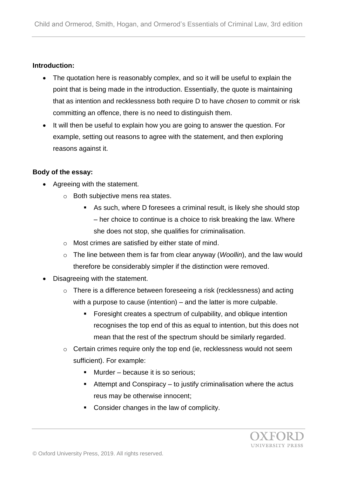### **Introduction:**

- The quotation here is reasonably complex, and so it will be useful to explain the point that is being made in the introduction. Essentially, the quote is maintaining that as intention and recklessness both require D to have *chosen* to commit or risk committing an offence, there is no need to distinguish them.
- It will then be useful to explain how you are going to answer the question. For example, setting out reasons to agree with the statement, and then exploring reasons against it.

#### **Body of the essay:**

- Agreeing with the statement.
	- o Both subjective mens rea states.
		- As such, where D foresees a criminal result, is likely she should stop – her choice to continue is a choice to risk breaking the law. Where she does not stop, she qualifies for criminalisation.
	- o Most crimes are satisfied by either state of mind.
	- o The line between them is far from clear anyway (*Woollin*), and the law would therefore be considerably simpler if the distinction were removed.
- Disagreeing with the statement.
	- o There is a difference between foreseeing a risk (recklessness) and acting with a purpose to cause (intention) – and the latter is more culpable.
		- Foresight creates a spectrum of culpability, and oblique intention recognises the top end of this as equal to intention, but this does not mean that the rest of the spectrum should be similarly regarded.
	- o Certain crimes require only the top end (ie, recklessness would not seem sufficient). For example:
		- Murder because it is so serious;
		- $\blacksquare$  Attempt and Conspiracy to justify criminalisation where the actus reus may be otherwise innocent;
		- Consider changes in the law of complicity.